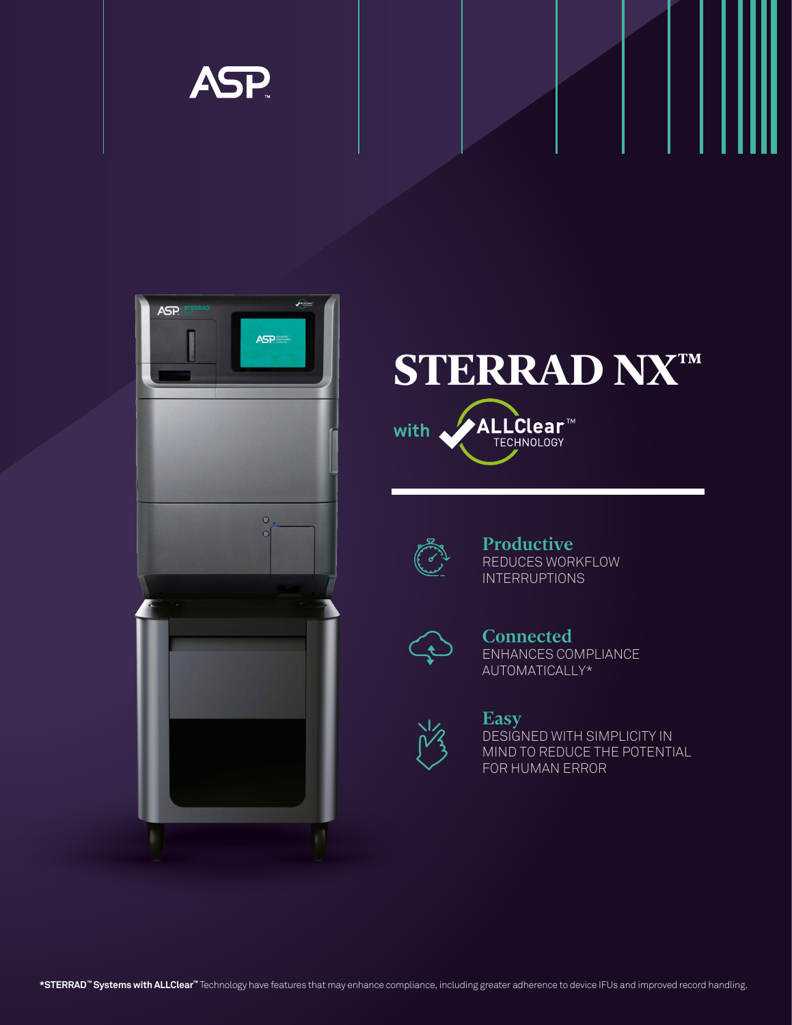









Productive REDUCES WORKFLOW INTERRUPTIONS



#### **Connected** ENHANCES COMPLIANCE AUTOMATICALLY\*



**Easy** 

DESIGNED WITH SIMPLICITY IN MIND TO REDUCE THE POTENTIAL FOR HUMAN ERROR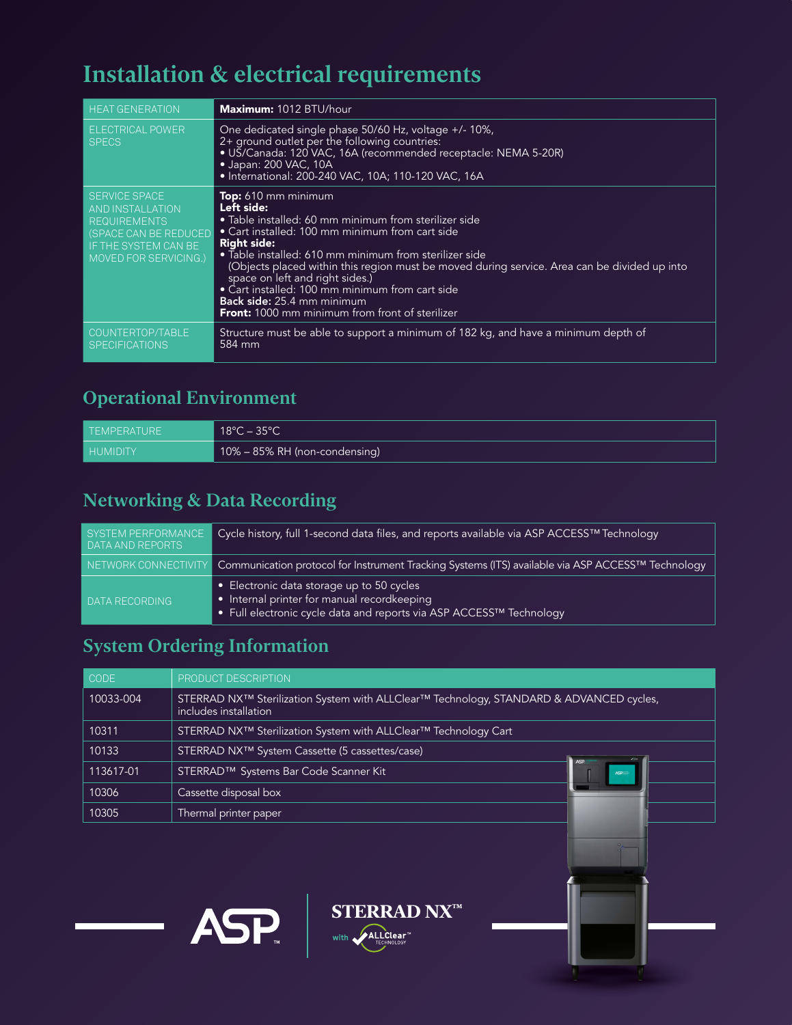## Installation & electrical requirements

| <b>HEAT GENERATION</b>                                                                                                                     | Maximum: 1012 BTU/hour                                                                                                                                                                                                                                                                                                                                                                                                                                                                                      |
|--------------------------------------------------------------------------------------------------------------------------------------------|-------------------------------------------------------------------------------------------------------------------------------------------------------------------------------------------------------------------------------------------------------------------------------------------------------------------------------------------------------------------------------------------------------------------------------------------------------------------------------------------------------------|
| ELECTRICAL POWER<br><b>SPECS</b>                                                                                                           | One dedicated single phase 50/60 Hz, voltage +/- 10%,<br>2+ ground outlet per the following countries:<br>· US/Canada: 120 VAC, 16A (recommended receptacle: NEMA 5-20R)<br>• Japan: 200 VAC, 10A<br>· International: 200-240 VAC, 10A; 110-120 VAC, 16A                                                                                                                                                                                                                                                    |
| <b>SERVICE SPACE</b><br>AND INSTALLATION<br><b>REQUIREMENTS</b><br>(SPACE CAN BE REDUCED)<br>IF THE SYSTEM CAN BE<br>MOVED FOR SERVICING.) | Top: 610 mm minimum<br>Left side:<br>• Table installed: 60 mm minimum from sterilizer side<br>• Cart installed: 100 mm minimum from cart side<br><b>Right side:</b><br>• Table installed: 610 mm minimum from sterilizer side<br>(Objects placed within this region must be moved during service. Area can be divided up into<br>space on left and right sides.)<br>· Cart installed: 100 mm minimum from cart side<br><b>Back side: 25.4 mm minimum</b><br>Front: 1000 mm minimum from front of sterilizer |
| COUNTERTOP/TABLE<br><b>SPECIFICATIONS</b>                                                                                                  | Structure must be able to support a minimum of 182 kg, and have a minimum depth of<br>584 mm                                                                                                                                                                                                                                                                                                                                                                                                                |

#### Operational Environment

| <b>TEMPERATURE</b> | $18^{\circ}$ C – 35 $^{\circ}$ C l |
|--------------------|------------------------------------|
| <b>HUMIDITY</b>    | 10% – 85% RH (non-condensing)      |

#### Networking & Data Recording

| SYSTEM PERFORMANCE<br>DATA AND REPORTS | ■ Cycle history, full 1-second data files, and reports available via ASP ACCESS™ Technology                                                                      |
|----------------------------------------|------------------------------------------------------------------------------------------------------------------------------------------------------------------|
|                                        | NETWORK CONNECTIVITY Communication protocol for Instrument Tracking Systems (ITS) available via ASP ACCESSTM Technology                                          |
| DATA RECORDING                         | • Electronic data storage up to 50 cycles<br>• Internal printer for manual recordkeeping<br>• Full electronic cycle data and reports via ASP ACCESSTM Technology |

#### System Ordering Information

ASP.

| <b>CODE</b> | PRODUCT DESCRIPTION                                                                                                                      |
|-------------|------------------------------------------------------------------------------------------------------------------------------------------|
| 10033-004   | STERRAD NX <sup>™</sup> Sterilization System with ALLClear <sup>™</sup> Technology, STANDARD & ADVANCED cycles,<br>includes installation |
| 10311       | STERRAD NX™ Sterilization System with ALLClear™ Technology Cart                                                                          |
| 10133       | STERRAD NX™ System Cassette (5 cassettes/case)                                                                                           |
| 113617-01   | ASP<br>STERRAD™ Systems Bar Code Scanner Kit<br>ASP <sup>®</sup>                                                                         |
| 10306       | Cassette disposal box                                                                                                                    |
| 10305       | Thermal printer paper                                                                                                                    |

**STERRAD NX<sup>™</sup>** with **v**ALLClear™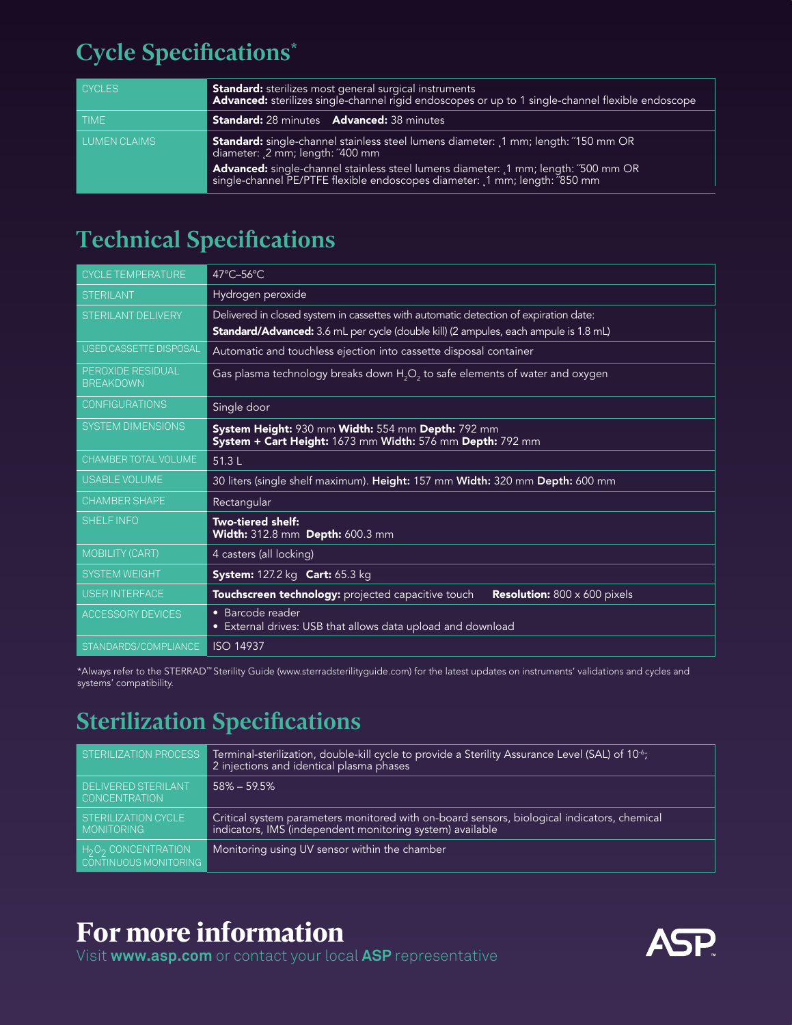### Cycle Specifications\*

| <b>CYCLES</b> | Standard: sterilizes most general surgical instruments<br>Advanced: sterilizes single-channel rigid endoscopes or up to 1 single-channel flexible endoscope               |
|---------------|---------------------------------------------------------------------------------------------------------------------------------------------------------------------------|
| <b>TIME</b>   | <b>Standard:</b> 28 minutes <b>Advanced:</b> 38 minutes                                                                                                                   |
| LUMEN CLAIMS  | <b>Standard:</b> single-channel stainless steel lumens diameter: 1 mm; length: "150 mm OR<br>diameter: 2 mm; length: "400 mm                                              |
|               | <b>Advanced:</b> single-channel stainless steel lumens diameter: ,1 mm; length: "500 mm OR<br>single-channel PE/PTFE flexible endoscopes diameter: ,1 mm; length: "850 mm |

### Technical Specifications

| <b>CYCLE TEMPERATURE</b>              | 47°C-56°C                                                                                                                                                                    |
|---------------------------------------|------------------------------------------------------------------------------------------------------------------------------------------------------------------------------|
| <b>STERILANT</b>                      | Hydrogen peroxide                                                                                                                                                            |
| <b>STERILANT DELIVERY</b>             | Delivered in closed system in cassettes with automatic detection of expiration date:<br>Standard/Advanced: 3.6 mL per cycle (double kill) (2 ampules, each ampule is 1.8 mL) |
| <b>USED CASSETTE DISPOSAL</b>         | Automatic and touchless ejection into cassette disposal container                                                                                                            |
| PEROXIDE RESIDUAL<br><b>BREAKDOWN</b> | Gas plasma technology breaks down $H_2O_2$ to safe elements of water and oxygen                                                                                              |
| <b>CONFIGURATIONS</b>                 | Single door                                                                                                                                                                  |
| SYSTEM DIMENSIONS                     | System Height: 930 mm Width: 554 mm Depth: 792 mm<br>System + Cart Height: 1673 mm Width: 576 mm Depth: 792 mm                                                               |
| CHAMBER TOTAL VOLUME                  | 51.3L                                                                                                                                                                        |
| <b>USABLE VOLUME</b>                  | 30 liters (single shelf maximum). Height: 157 mm Width: 320 mm Depth: 600 mm                                                                                                 |
| <b>CHAMBER SHAPE</b>                  | Rectangular                                                                                                                                                                  |
| <b>SHELF INFO</b>                     | Two-tiered shelf:<br>Width: 312.8 mm Depth: 600.3 mm                                                                                                                         |
| <b>MOBILITY (CART)</b>                | 4 casters (all locking)                                                                                                                                                      |
| <b>SYSTEM WEIGHT</b>                  | <b>System:</b> 127.2 kg <b>Cart:</b> 65.3 kg                                                                                                                                 |
| <b>USER INTERFACE</b>                 | Touchscreen technology: projected capacitive touch<br><b>Resolution:</b> 800 x 600 pixels                                                                                    |
| ACCESSORY DEVICES                     | • Barcode reader<br>• External drives: USB that allows data upload and download                                                                                              |
| STANDARDS/COMPLIANCE                  | <b>ISO 14937</b>                                                                                                                                                             |

\*Always refer to the STERRAD™ Sterility Guide (www.sterradsterilityguide.com) for the latest updates on instruments' validations and cycles and systems' compatibility.

### Sterilization Specifications

| STERILIZATION PROCESS                                                                     | Terminal-sterilization, double-kill cycle to provide a Sterility Assurance Level (SAL) of 10 <sup>-6</sup> ;<br>2 injections and identical plasma phases |
|-------------------------------------------------------------------------------------------|----------------------------------------------------------------------------------------------------------------------------------------------------------|
| <b>DELIVERED STERILANT</b><br><b>CONCENTRATION</b>                                        | $58\% - 59.5\%$                                                                                                                                          |
| STERILIZATION CYCLE<br><b>MONITORING</b>                                                  | Critical system parameters monitored with on-board sensors, biological indicators, chemical<br>indicators, IMS (independent monitoring system) available |
| $\frac{1}{2}$ H <sub>2</sub> O <sub>2</sub> CONCENTRATION<br><b>CONTINUOUS MONITORING</b> | Monitoring using UV sensor within the chamber                                                                                                            |

# **For more information**

Visit **www.asp.com** or contact your local **ASP** representative

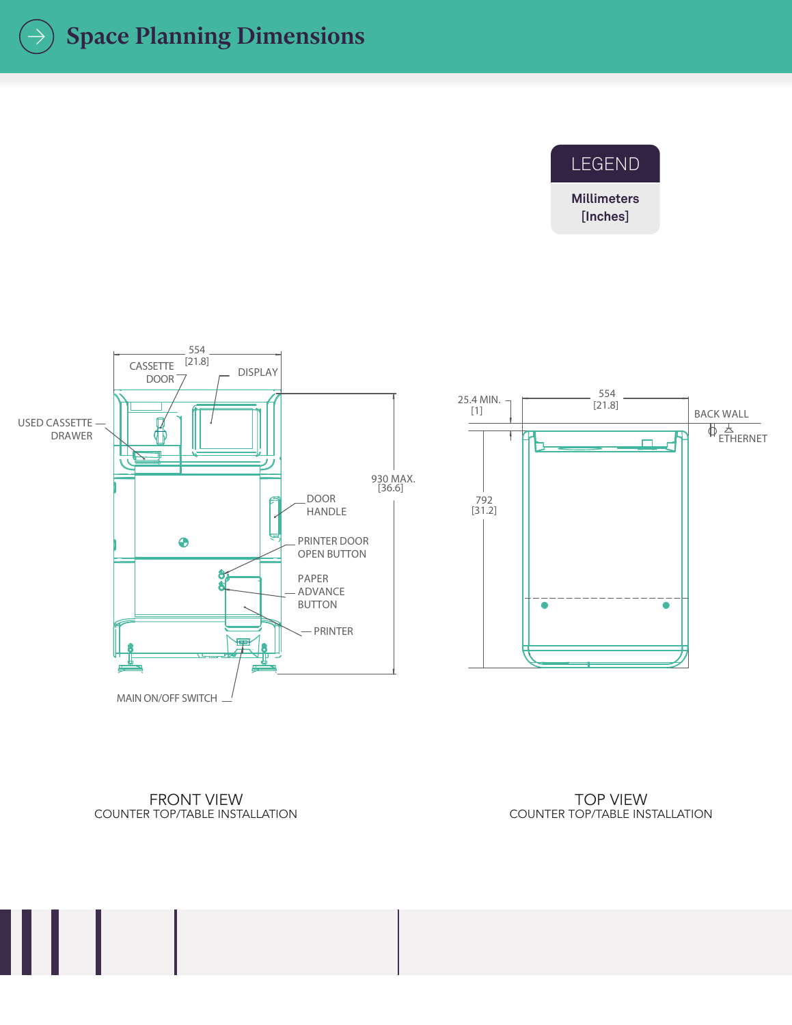

**Millimeters [Inches]**



FRONT VIEW COUNTER TOP/TABLE INSTALLATION

TOP VIEW COUNTER TOP/TABLE INSTALLATION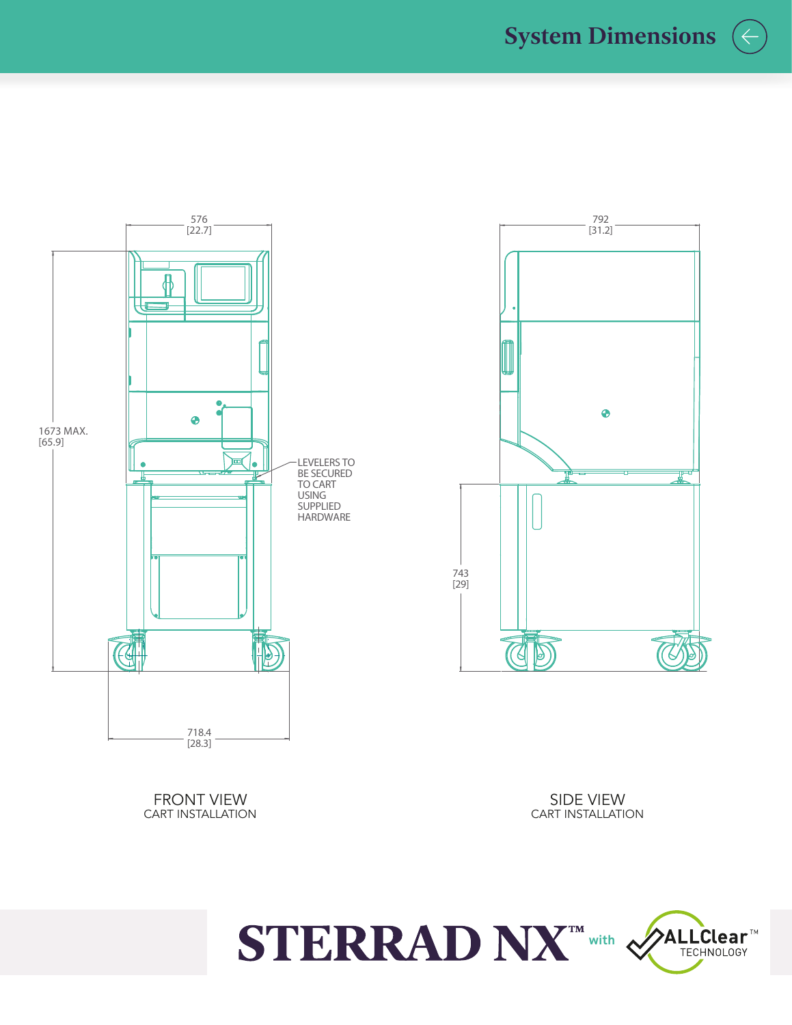

792 [31.2]

792 [31.2]



FRONT VIEW CART INSTALLATION

 $\bullet$ 743 743 [29]  $\pm$ d  $\mathbb{Z}$ 

> SIDE VIEW CART INSTALLATION